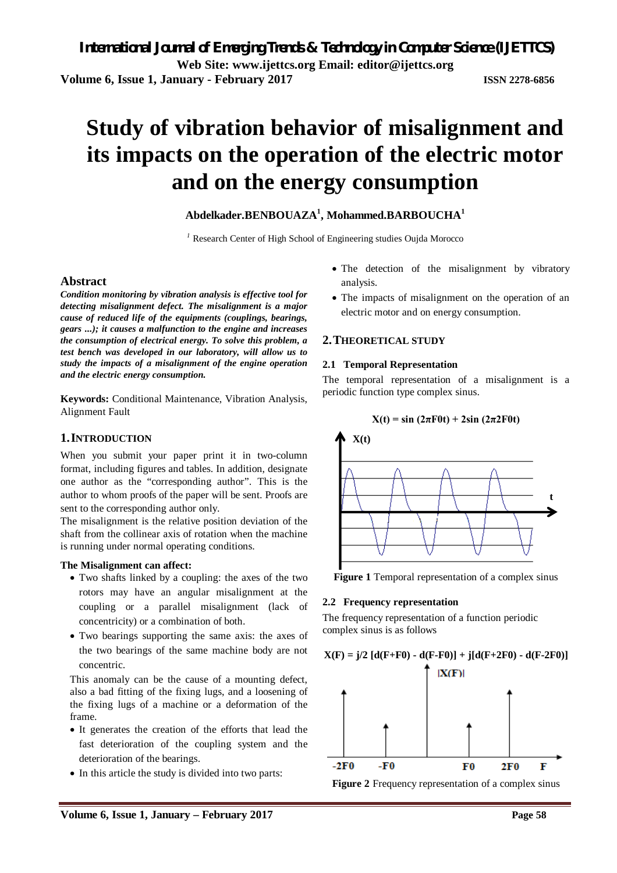# **Study of vibration behavior of misalignment and its impacts on the operation of the electric motor and on the energy consumption**

# **Abdelkader.BENBOUAZA<sup>1</sup> , Mohammed.BARBOUCHA<sup>1</sup>**

*<sup>1</sup>* Research Center of High School of Engineering studies Oujda Morocco

# **Abstract**

*Condition monitoring by vibration analysis is effective tool for detecting misalignment defect. The misalignment is a major cause of reduced life of the equipments (couplings, bearings, gears ...); it causes a malfunction to the engine and increases the consumption of electrical energy. To solve this problem, a test bench was developed in our laboratory, will allow us to study the impacts of a misalignment of the engine operation and the electric energy consumption.*

**Keywords:** Conditional Maintenance, Vibration Analysis, Alignment Fault

# **1.INTRODUCTION**

When you submit your paper print it in two-column format, including figures and tables. In addition, designate one author as the "corresponding author". This is the author to whom proofs of the paper will be sent. Proofs are sent to the corresponding author only.

The misalignment is the relative position deviation of the shaft from the collinear axis of rotation when the machine is running under normal operating conditions.

# **The Misalignment can affect:**

- Two shafts linked by a coupling: the axes of the two rotors may have an angular misalignment at the coupling or a parallel misalignment (lack of concentricity) or a combination of both.
- Two bearings supporting the same axis: the axes of the two bearings of the same machine body are not concentric.

This anomaly can be the cause of a mounting defect, also a bad fitting of the fixing lugs, and a loosening of the fixing lugs of a machine or a deformation of the frame.

- It generates the creation of the efforts that lead the fast deterioration of the coupling system and the deterioration of the bearings.
- In this article the study is divided into two parts:
- The detection of the misalignment by vibratory analysis.
- The impacts of misalignment on the operation of an electric motor and on energy consumption.

# **2.THEORETICAL STUDY**

# **2.1 Temporal Representation**

The temporal representation of a misalignment is a periodic function type complex sinus.





**Figure 1** Temporal representation of a complex sinus

# **2.2 Frequency representation**

The frequency representation of a function periodic complex sinus is as follows

 $X(F) = j/2$   $[d(F+F0) - d(F-F0)] + j[d(F+2F0) - d(F-2F0)]$ 



**Figure 2** Frequency representation of a complex sinus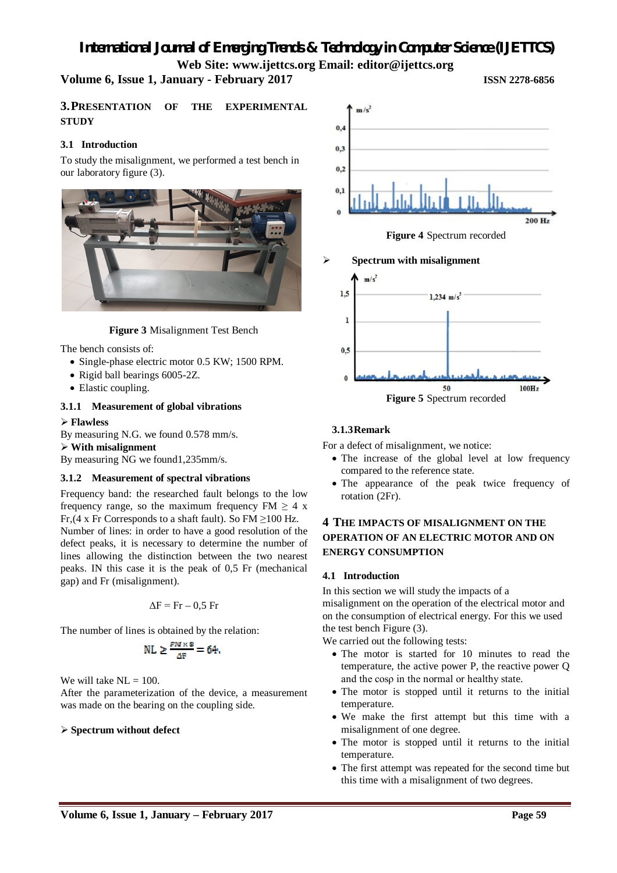# *International Journal of Emerging Trends & Technology in Computer Science (IJETTCS)* **Web Site: www.ijettcs.org Email: editor@ijettcs.org**

# **Volume 6, Issue 1, January - February 2017 ISSN 2278-6856**

**3.PRESENTATION OF THE EXPERIMENTAL STUDY**

# **3.1 Introduction**

To study the misalignment, we performed a test bench in our laboratory figure (3).



# **Figure 3** Misalignment Test Bench

The bench consists of:

- Single-phase electric motor 0.5 KW; 1500 RPM.
- Rigid ball bearings 6005-2Z.
- Elastic coupling.

## **3.1.1 Measurement of global vibrations**

#### **Flawless**

By measuring N.G. we found 0.578 mm/s.

#### **With misalignment**

By measuring NG we found1,235mm/s.

## **3.1.2 Measurement of spectral vibrations**

Frequency band: the researched fault belongs to the low frequency range, so the maximum frequency  $FM \geq 4$  x Fr, (4 x Fr Corresponds to a shaft fault). So FM  $\geq$  100 Hz. Number of lines: in order to have a good resolution of the defect peaks, it is necessary to determine the number of lines allowing the distinction between the two nearest peaks. IN this case it is the peak of 0,5 Fr (mechanical gap) and Fr (misalignment).

$$
\Delta F = Fr - 0.5 Fr
$$

The number of lines is obtained by the relation:

$$
NL \geq \frac{F M \times B}{\Delta F} = 64.
$$

We will take  $NL = 100$ .

After the parameterization of the device, a measurement was made on the bearing on the coupling side.

# **Spectrum without defect**



**Spectrum with misalignment**



**3.1.3Remark**

For a defect of misalignment, we notice:

- The increase of the global level at low frequency compared to the reference state.
- The appearance of the peak twice frequency of rotation (2Fr).

# **4 THE IMPACTS OF MISALIGNMENT ON THE OPERATION OF AN ELECTRIC MOTOR AND ON ENERGY CONSUMPTION**

## **4.1 Introduction**

In this section we will study the impacts of a misalignment on the operation of the electrical motor and on the consumption of electrical energy. For this we used the test bench Figure (3).

We carried out the following tests:

- The motor is started for 10 minutes to read the temperature, the active power P, the reactive power Q and the cosρ in the normal or healthy state.
- The motor is stopped until it returns to the initial temperature.
- We make the first attempt but this time with a misalignment of one degree.
- The motor is stopped until it returns to the initial temperature.
- The first attempt was repeated for the second time but this time with a misalignment of two degrees.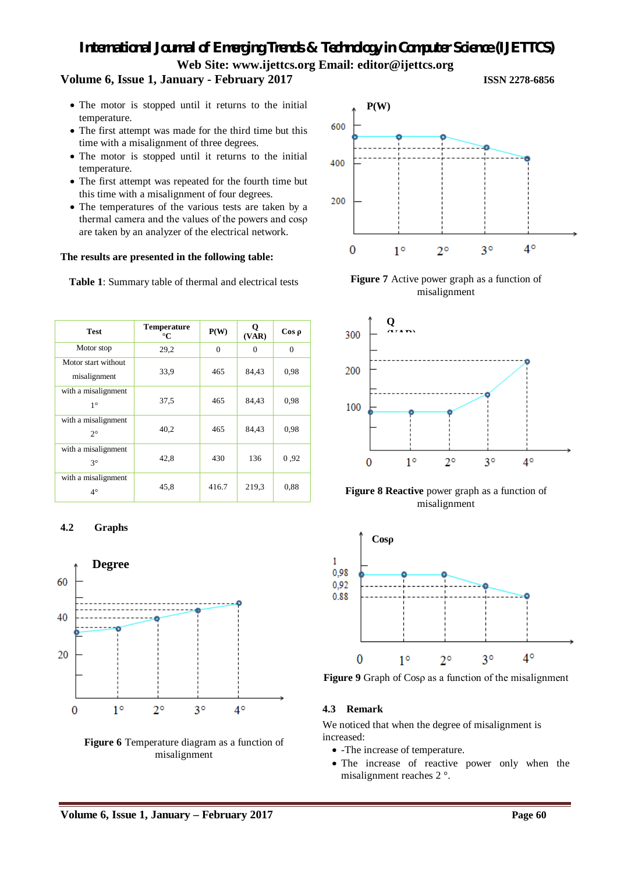# *International Journal of Emerging Trends & Technology in Computer Science (IJETTCS)* **Web Site: www.ijettcs.org Email: editor@ijettcs.org**

# **Volume 6, Issue 1, January - February 2017 ISSN 2278-6856**

- The motor is stopped until it returns to the initial temperature.
- The first attempt was made for the third time but this time with a misalignment of three degrees.
- The motor is stopped until it returns to the initial temperature.
- The first attempt was repeated for the fourth time but this time with a misalignment of four degrees.
- The temperatures of the various tests are taken by a thermal camera and the values of the powers and cosρ are taken by an analyzer of the electrical network.

## **The results are presented in the following table:**

**Table 1**: Summary table of thermal and electrical tests

| <b>Test</b>                         | <b>Temperature</b><br>$\rm ^{\circ}C$ | P(W)     | о<br>(VAR) | $\cos \rho$ |
|-------------------------------------|---------------------------------------|----------|------------|-------------|
| Motor stop                          | 29,2                                  | $\Omega$ | $\Omega$   | $\Omega$    |
| Motor start without<br>misalignment | 33,9                                  | 465      | 84,43      | 0.98        |
| with a misalignment<br>$1^{\circ}$  | 37.5                                  | 465      | 84,43      | 0.98        |
| with a misalignment<br>$2^{\circ}$  | 40.2                                  | 465      | 84,43      | 0.98        |
| with a misalignment<br>$3^\circ$    | 42,8                                  | 430      | 136        | 0,92        |
| with a misalignment<br>$4^\circ$    | 45,8                                  | 416.7    | 219.3      | 0.88        |

# **4.2 Graphs**



**Figure 6** Temperature diagram as a function of misalignment







**Figure 8 Reactive** power graph as a function of misalignment



**Figure 9** Graph of Cosρ as a function of the misalignment

# **4.3 Remark**

We noticed that when the degree of misalignment is increased:

- -The increase of temperature.
- The increase of reactive power only when the misalignment reaches 2 °.